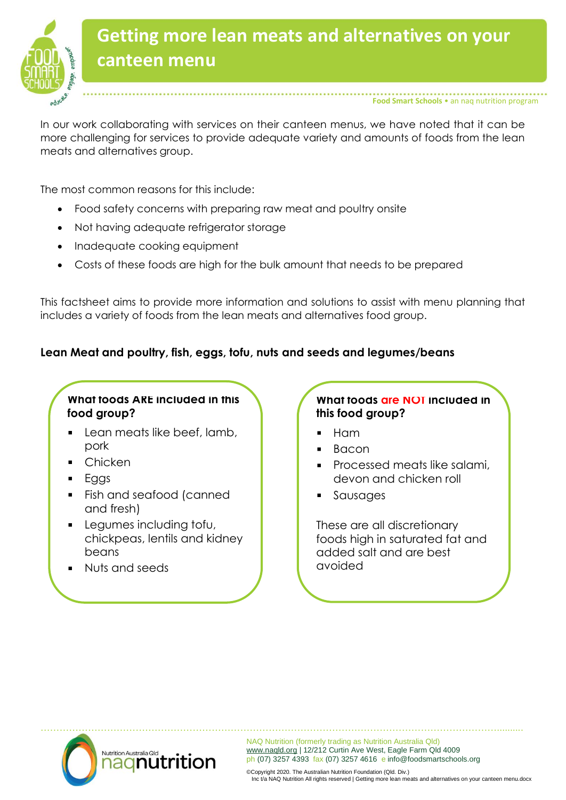

# **Getting more lean meats and alternatives on your canteen menu**

**Food Smart Schools** • an naq nutrition program

In our work collaborating with services on their canteen menus, we have noted that it can be more challenging for services to provide adequate variety and amounts of foods from the lean meats and alternatives group.

The most common reasons for this include:

- Food safety concerns with preparing raw meat and poultry onsite
- Not having adequate refrigerator storage
- Inadequate cooking equipment
- Costs of these foods are high for the bulk amount that needs to be prepared

This factsheet aims to provide more information and solutions to assist with menu planning that includes a variety of foods from the lean meats and alternatives food group.

#### **Lean Meat and poultry, fish, eggs, tofu, nuts and seeds and legumes/beans**

#### **What foods ARE included in this food group?**

- Lean meats like beef, lamb, pork
- Chicken
- Eggs
- Fish and seafood (canned and fresh)
- **Legumes including tofu,** chickpeas, lentils and kidney beans
- Nuts and seeds

#### **What foods are NOT included in this food group?**

- Ham
- Bacon
- Processed meats like salami, devon and chicken roll
- Sausages

These are all discretionary foods high in saturated fat and added salt and are best avoided



NAQ Nutrition (formerly trading as Nutrition Australia Qld) [www.naqld.org](http://www.naqld.org/) | 12/212 Curtin Ave West, Eagle Farm Qld 4009 ph (07) 3257 4393 fax (07) 3257 4616 e info@foodsmartschools.org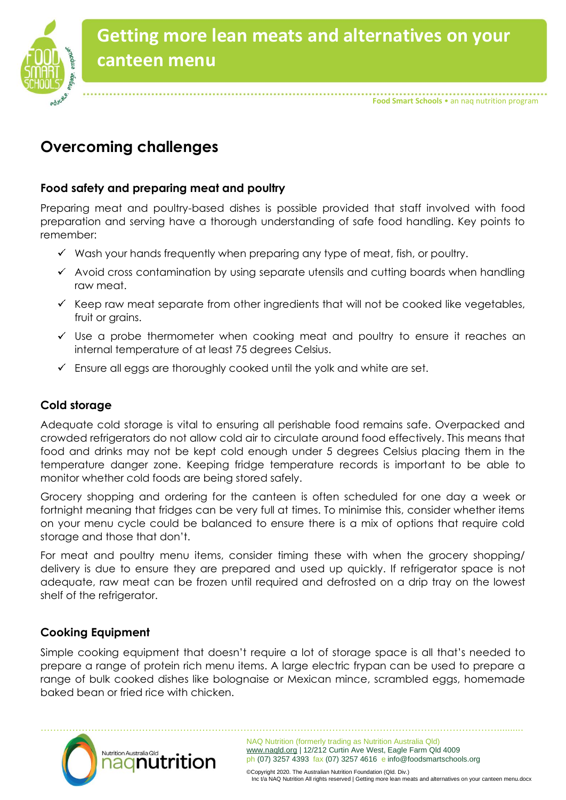

# **Overcoming challenges**

#### **Food safety and preparing meat and poultry**

Preparing meat and poultry-based dishes is possible provided that staff involved with food preparation and serving have a thorough understanding of safe food handling. Key points to remember:

- $\checkmark$  Wash your hands frequently when preparing any type of meat, fish, or poultry.
- $\checkmark$  Avoid cross contamination by using separate utensils and cutting boards when handling raw meat.
- $\checkmark$  Keep raw meat separate from other ingredients that will not be cooked like vegetables, fruit or grains.
- $\checkmark$  Use a probe thermometer when cooking meat and poultry to ensure it reaches an internal temperature of at least 75 degrees Celsius.
- $\checkmark$  Ensure all eggs are thoroughly cooked until the yolk and white are set.

### **Cold storage**

Adequate cold storage is vital to ensuring all perishable food remains safe. Overpacked and crowded refrigerators do not allow cold air to circulate around food effectively. This means that food and drinks may not be kept cold enough under 5 degrees Celsius placing them in the temperature danger zone. Keeping fridge temperature records is important to be able to monitor whether cold foods are being stored safely.

Grocery shopping and ordering for the canteen is often scheduled for one day a week or fortnight meaning that fridges can be very full at times. To minimise this, consider whether items on your menu cycle could be balanced to ensure there is a mix of options that require cold storage and those that don't.

For meat and poultry menu items, consider timing these with when the grocery shopping/ delivery is due to ensure they are prepared and used up quickly. If refrigerator space is not adequate, raw meat can be frozen until required and defrosted on a drip tray on the lowest shelf of the refrigerator.

### **Cooking Equipment**

Simple cooking equipment that doesn't require a lot of storage space is all that's needed to prepare a range of protein rich menu items. A large electric frypan can be used to prepare a range of bulk cooked dishes like bolognaise or Mexican mince, scrambled eggs, homemade baked bean or fried rice with chicken.